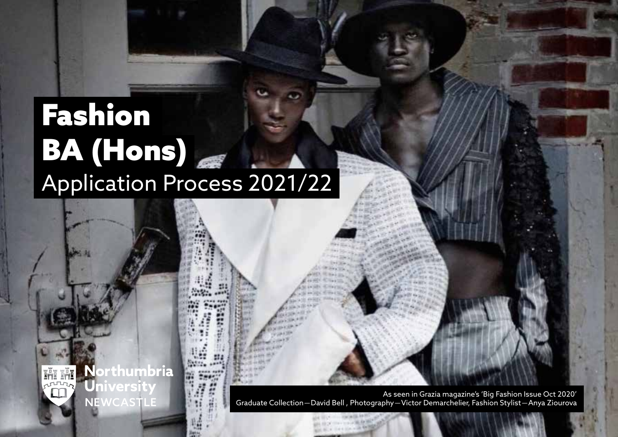# Fashion BA (Hons) Application Process 2021/22

Northumbria

nivers

NEWCASTLE

As seen in Grazia magazine's 'Big Fashion Issue Oct 2020' Graduate Collection—David Bell , Photography—Victor Demarchelier, Fashion Stylist—Anya Ziourova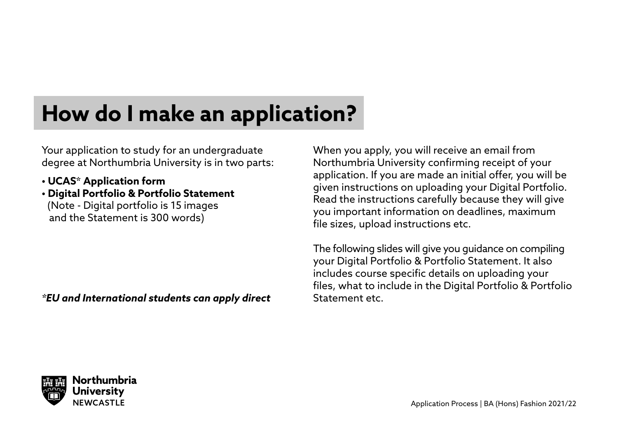### **How do I make an application?**

Your application to study for an undergraduate degree at Northumbria University is in two parts:

- **UCAS\* Application form**
- **Digital Portfolio & Portfolio Statement** (Note - Digital portfolio is 15 images and the Statement is 300 words)

*\*EU and International students can apply direct*

When you apply, you will receive an email from Northumbria University confirming receipt of your application. If you are made an initial offer, you will be given instructions on uploading your Digital Portfolio. Read the instructions carefully because they will give you important information on deadlines, maximum file sizes, upload instructions etc.

The following slides will give you guidance on compiling your Digital Portfolio & Portfolio Statement. It also includes course specific details on uploading your files, what to include in the Digital Portfolio & Portfolio Statement etc.

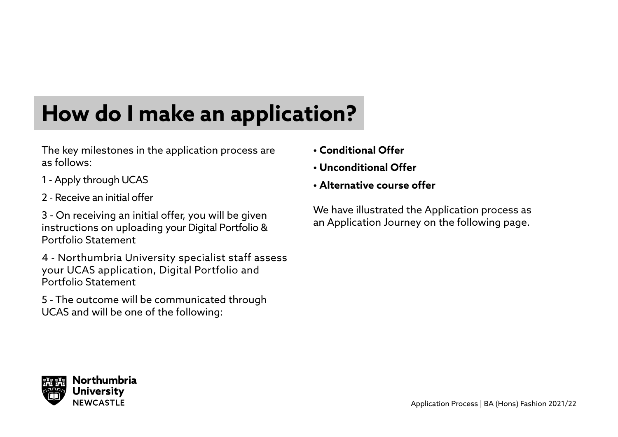## **How do I make an application?**

The key milestones in the application process are as follows:

- 1 Apply through UCAS
- 2 Receive an initial offer

3 - On receiving an initial offer, you will be given instructions on uploading your Digital Portfolio & Portfolio Statement

4 - Northumbria University specialist staff assess your UCAS application, Digital Portfolio and Portfolio Statement

5 - The outcome will be communicated through UCAS and will be one of the following:

- **Conditional Offer**
- **Unconditional Offer**
- **Alternative course offer**

We have illustrated the Application process as an Application Journey on the following page.

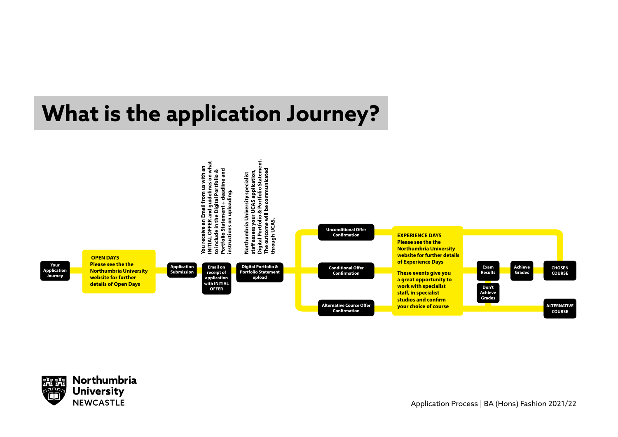### **What is the application Journey?**



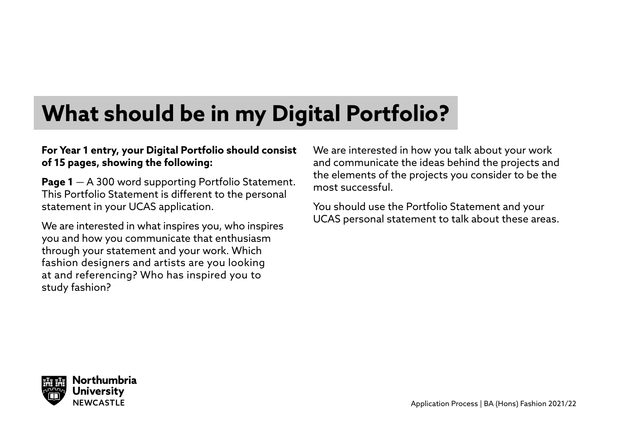### **What should be in my Digital Portfolio?**

#### **For Year 1 entry, your Digital Portfolio should consist of 15 pages, showing the following:**

**Page 1** — A 300 word supporting Portfolio Statement. This Portfolio Statement is different to the personal statement in your UCAS application.

We are interested in what inspires you, who inspires you and how you communicate that enthusiasm through your statement and your work. Which fashion designers and artists are you looking at and referencing? Who has inspired you to study fashion?

We are interested in how you talk about your work and communicate the ideas behind the projects and the elements of the projects you consider to be the most successful.

You should use the Portfolio Statement and your UCAS personal statement to talk about these areas.

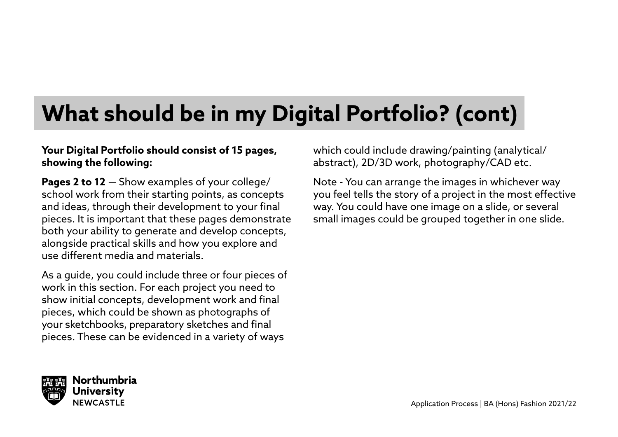### **What should be in my Digital Portfolio? (cont)**

#### **Your Digital Portfolio should consist of 15 pages, showing the following:**

**Pages 2 to 12** — Show examples of your college/ school work from their starting points, as concepts and ideas, through their development to your final pieces. It is important that these pages demonstrate both your ability to generate and develop concepts, alongside practical skills and how you explore and use different media and materials.

As a guide, you could include three or four pieces of work in this section. For each project you need to show initial concepts, development work and final pieces, which could be shown as photographs of your sketchbooks, preparatory sketches and final pieces. These can be evidenced in a variety of ways

which could include drawing/painting (analytical/ abstract), 2D/3D work, photography/CAD etc.

Note - You can arrange the images in whichever way you feel tells the story of a project in the most effective way. You could have one image on a slide, or several small images could be grouped together in one slide.

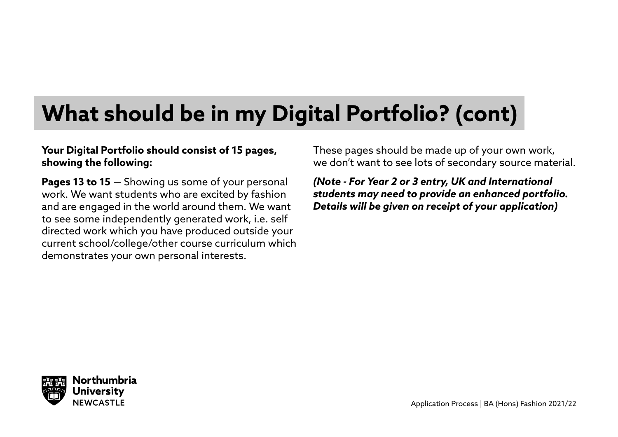### **What should be in my Digital Portfolio? (cont)**

#### **Your Digital Portfolio should consist of 15 pages, showing the following:**

**Pages 13 to 15** — Showing us some of your personal work. We want students who are excited by fashion and are engaged in the world around them. We want to see some independently generated work, i.e. self directed work which you have produced outside your current school/college/other course curriculum which demonstrates your own personal interests.

These pages should be made up of your own work, we don't want to see lots of secondary source material.

*(Note - For Year 2 or 3 entry, UK and International students may need to provide an enhanced portfolio. Details will be given on receipt of your application)*

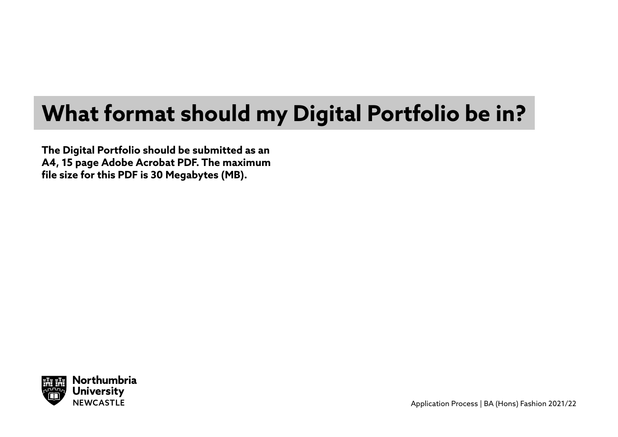### **What format should my Digital Portfolio be in?**

**The Digital Portfolio should be submitted as an A4, 15 page Adobe Acrobat PDF. The maximum file size for this PDF is 30 Megabytes (MB).**

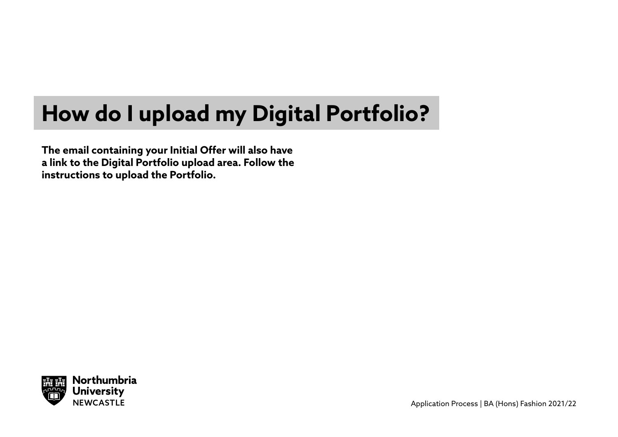### **How do I upload my Digital Portfolio?**

**The email containing your Initial Offer will also have a link to the Digital Portfolio upload area. Follow the instructions to upload the Portfolio.** 

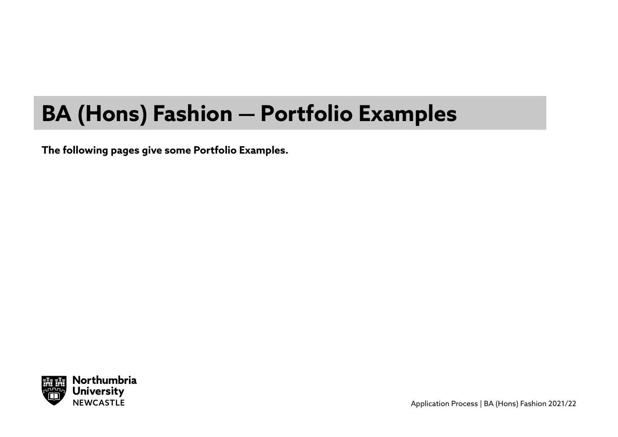### **BA (Hons) Fashion — Portfolio Examples**

**The following pages give some Portfolio Examples.** 

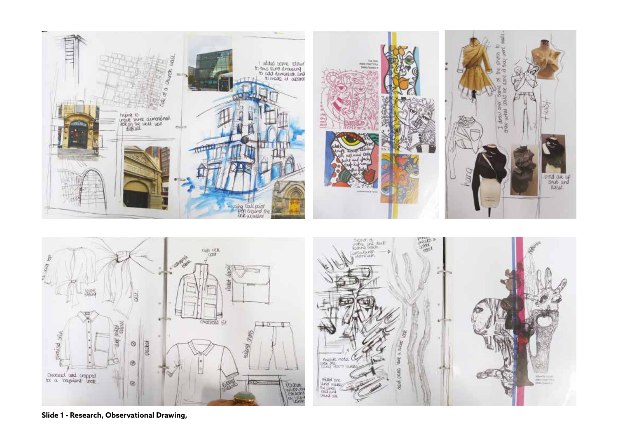





**Slide 1 - Research, Observational Drawing,**